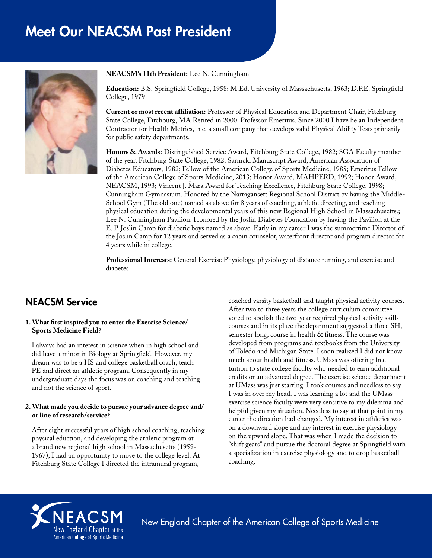# Meet Our NEACSM Past President



**NEACSM's 11th President:** Lee N. Cunningham

**Education:** B.S. Springfield College, 1958; M.Ed. University of Massachusetts, 1963; D.P.E. Springfield College, 1979

**Current or most recent affiliation:** Professor of Physical Education and Department Chair, Fitchburg State College, Fitchburg, MA Retired in 2000. Professor Emeritus. Since 2000 I have be an Independent Contractor for Health Metrics, Inc. a small company that develops valid Physical Ability Tests primarily for public safety departments.

**Honors & Awards:** Distinguished Service Award, Fitchburg State College, 1982; SGA Faculty member of the year, Fitchburg State College, 1982; Sarnicki Manuscript Award, American Association of Diabetes Educators, 1982; Fellow of the American College of Sports Medicine, 1985; Emeritus Fellow of the American College of Sports Medicine, 2013; Honor Award, MAHPERD, 1992; Honor Award, NEACSM, 1993; Vincent J. Mara Award for Teaching Excellence, Fitchburg State College, 1998; Cunningham Gymnasium. Honored by the Narragansett Regional School District by having the Middle-School Gym (The old one) named as above for 8 years of coaching, athletic directing, and teaching physical education during the developmental years of this new Regional High School in Massachusetts.; Lee N. Cunningham Pavilion. Honored by the Joslin Diabetes Foundation by having the Pavilion at the E. P. Joslin Camp for diabetic boys named as above. Early in my career I was the summertime Director of the Joslin Camp for 12 years and served as a cabin counselor, waterfront director and program director for 4 years while in college.

**Professional Interests:** General Exercise Physiology, physiology of distance running, and exercise and diabetes

# NEACSM Service

#### **1. What first inspired you to enter the Exercise Science/ Sports Medicine Field?**

I always had an interest in science when in high school and did have a minor in Biology at Springfield. However, my dream was to be a HS and college basketball coach, teach PE and direct an athletic program. Consequently in my undergraduate days the focus was on coaching and teaching and not the science of sport.

#### **2. What made you decide to pursue your advance degree and/ or line of research/service?**

After eight successful years of high school coaching, teaching physical eduction, and developing the athletic program at a brand new regional high school in Massachusetts (1959- 1967), I had an opportunity to move to the college level. At Fitchburg State College I directed the intramural program,

coached varsity basketball and taught physical activity courses. After two to three years the college curriculum committee voted to abolish the two-year required physical activity skills courses and in its place the department suggested a three SH, semester long, course in health & fitness. The course was developed from programs and textbooks from the University of Toledo and Michigan State. I soon realized I did not know much about health and fitness. UMass was offering free tuition to state college faculty who needed to earn additional credits or an advanced degree. The exercise science department at UMass was just starting. I took courses and needless to say I was in over my head. I was learning a lot and the UMass exercise science faculty were very sensitive to my dilemma and helpful given my situation. Needless to say at that point in my career the direction had changed. My interest in athletics was on a downward slope and my interest in exercise physiology on the upward slope. That was when I made the decision to "shift gears" and pursue the doctoral degree at Springfield with a specialization in exercise physiology and to drop basketball coaching.



New England Chapter of the American College of Sports Medicine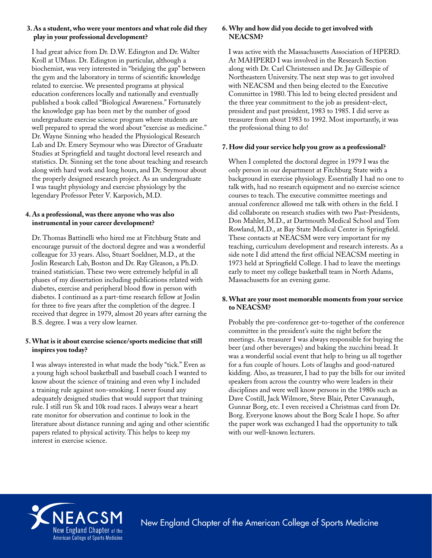#### **3. As a student, who were your mentors and what role did they play in your professional development?**

I had great advice from Dr. D.W. Edington and Dr. Walter Kroll at UMass. Dr. Edington in particular, although a biochemist, was very interested in "bridging the gap" between the gym and the laboratory in terms of scientific knowledge related to exercise. We presented programs at physical education conferences locally and nationally and eventually published a book called "Biological Awareness." Fortunately the knowledge gap has been met by the number of good undergraduate exercise science program where students are well prepared to spread the word about "exercise as medicine." Dr. Wayne Sinning who headed the Physiological Research Lab and Dr. Emery Seymour who was Director of Graduate Studies at Springfield and taught doctoral level research and statistics. Dr. Sinning set the tone about teaching and research along with hard work and long hours, and Dr. Seymour about the properly designed research project. As an undergraduate I was taught physiology and exercise physiology by the legendary Professor Peter V. Karpovich, M.D.

#### **4. As a professional, was there anyone who was also instrumental in your career development?**

Dr. Thomas Battinelli who hired me at Fitchburg State and encourage pursuit of the doctoral degree and was a wonderful colleague for 33 years. Also, Stuart Soeldner, M.D., at the Joslin Research Lab, Boston and Dr. Ray Gleason, a Ph.D. trained statistician. These two were extremely helpful in all phases of my dissertation including publications related with diabetes, exercise and peripheral blood flow in person with diabetes. I continued as a part-time research fellow at Joslin for three to five years after the completion of the degree. I received that degree in 1979, almost 20 years after earning the B.S. degree. I was a very slow learner.

# **5. What is it about exercise science/sports medicine that still inspires you today?**

I was always interested in what made the body "tick." Even as a young high school basketball and baseball coach I wanted to know about the science of training and even why I included a training rule against non-smoking. I never found any adequately designed studies that would support that training rule. I still run 5k and 10k road races. I always wear a heart rate monitor for observation and continue to look in the literature about distance running and aging and other scientific papers related to physical activity. This helps to keep my interest in exercise science.

# **6. Why and how did you decide to get involved with NEACSM?**

I was active with the Massachusetts Association of HPERD. At MAHPERD I was involved in the Research Section along with Dr. Carl Christensen and Dr. Jay Gillespie of Northeastern University. The next step was to get involved with NEACSM and then being elected to the Executive Committee in 1980. This led to being elected president and the three year commitment to the job as president-elect, president and past president, 1983 to 1985. I did serve as treasurer from about 1983 to 1992. Most importantly, it was the professional thing to do!

# **7. How did your service help you grow as a professional?**

When I completed the doctoral degree in 1979 I was the only person in our department at Fitchburg State with a background in exercise physiology. Essentially I had no one to talk with, had no research equipment and no exercise science courses to teach. The executive committee meetings and annual conference allowed me talk with others in the field. I did collaborate on research studies with two Past-Presidents, Don Mahler, M.D., at Dartmouth Medical School and Tom Rowland, M.D., at Bay State Medical Center in Springfield. These contacts at NEACSM were very important for my teaching, curriculum development and research interests. As a side note I did attend the first official NEACSM meeting in 1973 held at Springfield College. I had to leave the meetings early to meet my college basketball team in North Adams, Massachusetts for an evening game.

#### **8. What are your most memorable moments from your service to NEACSM?**

Probably the pre-conference get-to-together of the conference committee in the president's suite the night before the meetings. As treasurer I was always responsible for buying the beer (and other beverages) and baking the zucchini bread. It was a wonderful social event that help to bring us all together for a fun couple of hours. Lots of laughs and good-natured kidding. Also, as treasurer, I had to pay the bills for our invited speakers from across the country who were leaders in their disciplines and were well know persons in the 1980s such as Dave Costill, Jack Wilmore, Steve Blair, Peter Cavanaugh, Gunnar Borg, etc. I even received a Christmas card from Dr. Borg. Everyone knows about the Borg Scale I hope. So after the paper work was exchanged I had the opportunity to talk with our well-known lecturers.